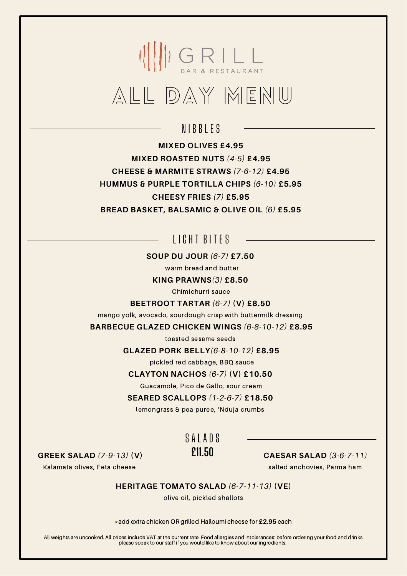### $\left(\left\{\left\{\right\}\right\}\right) \underset{\mathbf{BAP}}{\bigcap} \underset{\mathbf{BAP}}{\bigcap} \underset{\mathbf{BSPR}}{\bigcup} \underset{\mathbf{BSPR}}{\bigcup} \underset{\mathbf{BSPR}}{\bigcup}$ ALL DAY MENU

### N I B B I F S

**MIXED OLIVES £4.95 MIXED ROASTED NUTS** *(4-5)* **£4.95 CHEESE & MARMITE STRAWS** *(7-6-12)* **£4.95 HUMMUS & PURPLE TORTILLA CHIPS** *(6-10)* **£5.95 CHEESY FRIES** *(7)* **£5.95 BREAD BASKET, BALSAMIC & OLIVE OIL** *(6)* **£5.95**

### LIGHT BITES

**SOUP DU JOUR** *(6-7)* **£7.50**

warm bread and butter

**KING PRAWNS***(3)* **£8.50**

Chimichurri sauce

**BEETROOT TARTAR** *(6-7)* **(V) £8.50**

mango yolk, avocado, sourdough crisp with buttermilk dressing

**BARBECUE GLAZED CHICKEN WINGS** *(6-8-10-12)* **£8.95**

toasted sesame seeds

**GLAZED PORK BELLY***(6-8-10-12)* **£8.95**

pickled red cabbage, BBQ sauce

**CLAYTON NACHOS** *(6-7)* **(V) £10.50**

Guacamole, Pico de Gallo, sour cream

**SEARED SCALLOPS** *(1-2-6-7)* **£18.50**

lemongrass & pea puree, 'Nduja crumbs

**GREEK SALAD** *(7-9-13)* **(V) £11.50**

Kalamata olives, Feta cheese

SAIADS

#### **CAESAR SALAD** *(3-6-7-11)*

salted anchovies, Parma ham

**HERITAGE TOMATO SALAD** *(6-7-11-13)* **(VE)**

olive oil, pickled shallots

\*add extra chicken OR grilled Halloumi cheese for **£2.95** each

All weights are uncooked. All prices include VAT at the current rate. Food allergies and intolerances: before ordering your food and drinks please speak to our staff if you would like to know about our ingredients.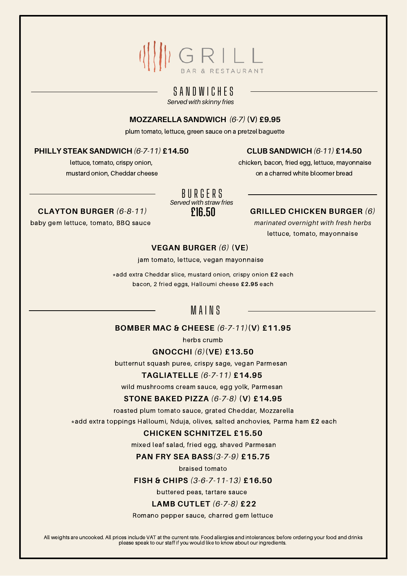### WGRILL

#### S A N D W I C H E S

*Served with skinny fries*

#### **MOZZARELLA SANDWICH** *(6-7)* **(V) £9.95**

plum tomato, lettuce, green sauce on a pretzel baguette

#### **PHILLY STEAK SANDWICH** *(6-7-11)* **£14.50**

lettuce, tomato, crispy onion, mustard onion, Cheddar cheese

#### **CLUB SANDWICH** *(6-11)* **£14.50**

chicken, bacon, fried egg, lettuce, mayonnaise on a charred white bloomer bread

### *Served with straw fries* B U R G E R S

#### **C £16.50 LAYTON BURGER** *(6-8-11)*

baby gem lettuce, tomato, BBQ sauce

#### **GRILLED CHICKEN BURGER** *(6)*

*marinated overnight with fresh herbs* lettuce, tomato, mayonnaise

#### **VEGAN BURGER** *(6)* **(VE)**

jam tomato, lettuce, vegan mayonnaise

\*add extra Cheddar slice, mustard onion, crispy onion **£2** each bacon, 2 fried eggs, Halloumi cheese **£2.95** each

### M A I N S

#### **BOMBER MAC & CHEESE** *(6-7-11)***(V) £11.95**

herbs crumb

#### **GNOCCHI** *(6)***(VE) £13.50**

butternut squash puree, crispy sage, vegan Parmesan

#### **TAGLIATELLE** *(6-7-11)* **£14.95**

wild mushrooms cream sauce, egg yolk, Parmesan

#### **STONE BAKED PIZZA** *(6-7-8)* **(V) £14.95**

roasted plum tomato sauce, grated Cheddar, Mozzarella

\*add extra toppings Halloumi, Nduja, olives, salted anchovies, Parma ham **£2** each

#### **CHICKEN SCHNITZEL £15.50**

mixed leaf salad, fried egg, shaved Parmesan

**PAN FRY SEA BASS***(3-7-9)* **£15.75**

braised tomato

#### **FISH & CHIPS** *(3-6-7-11-13)* **£16.50**

buttered peas, tartare sauce

#### **LAMB CUTLET** *(6-7-8)* **£22**

#### Romano pepper sauce, charred gem lettuce

All weights are uncooked. All prices include VAT at the current rate. Food allergies and intolerances: before ordering your food and drinks please speak to our staff if you would like to know about our ingredients.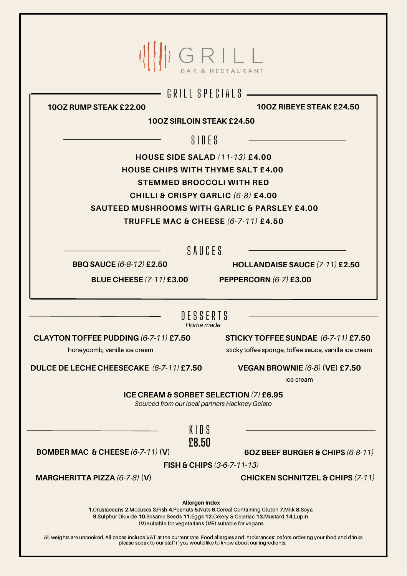|                                                                                                                                             | GRILL                                                    |
|---------------------------------------------------------------------------------------------------------------------------------------------|----------------------------------------------------------|
|                                                                                                                                             | GRILL SPECIALS                                           |
| 100Z RUMP STEAK £22.00                                                                                                                      | 100Z RIBEYE STEAK £24.50                                 |
| 100Z SIRLOIN STEAK £24.50                                                                                                                   |                                                          |
|                                                                                                                                             |                                                          |
|                                                                                                                                             | $S$ IDES                                                 |
| <b>HOUSE SIDE SALAD (11-13) £4.00</b>                                                                                                       |                                                          |
| <b>HOUSE CHIPS WITH THYME SALT £4.00</b>                                                                                                    |                                                          |
| <b>STEMMED BROCCOLI WITH RED</b>                                                                                                            |                                                          |
| CHILLI & CRISPY GARLIC (6-8) £4.00                                                                                                          |                                                          |
|                                                                                                                                             | <b>SAUTEED MUSHROOMS WITH GARLIC &amp; PARSLEY £4.00</b> |
| <b>TRUFFLE MAC &amp; CHEESE (6-7-11) £4.50</b>                                                                                              |                                                          |
|                                                                                                                                             |                                                          |
|                                                                                                                                             | SAUCES                                                   |
| <b>BBQ SAUCE (6-8-12) £2.50</b>                                                                                                             | HOLLANDAISE SAUCE (7-11) £2.50                           |
| <b>BLUE CHEESE (7-11) £3.00 PEPPERCORN (6-7) £3.00</b>                                                                                      |                                                          |
|                                                                                                                                             |                                                          |
|                                                                                                                                             |                                                          |
| Home made                                                                                                                                   | DESSERTS                                                 |
| CLAYTON TOFFEE PUDDING (6-7-11) £7.50                                                                                                       | STICKY TOFFEE SUNDAE (6-7-11) £7.50                      |
| honeycomb, vanilla ice cream                                                                                                                | sticky toffee sponge, toffee sauce, vanilla ice cream    |
|                                                                                                                                             |                                                          |
| DULCE DE LECHE CHEESECAKE (6-7-11) £7.50                                                                                                    | VEGAN BROWNIE (6-8) (VE) £7.50                           |
|                                                                                                                                             | ice cream                                                |
| ICE CREAM & SORBET SELECTION (7) £6.95<br>Sourced from our local partners Hackney Gelato                                                    |                                                          |
|                                                                                                                                             |                                                          |
| KIDS                                                                                                                                        |                                                          |
| £8.50                                                                                                                                       |                                                          |
| BOMBER MAC & CHEESE $(6-7-11)$ (V)                                                                                                          | 6OZ BEEF BURGER & CHIPS (6-8-11)                         |
|                                                                                                                                             | FISH & CHIPS (3-6-7-11-13)                               |
| MARGHERITTA PIZZA (6-7-8) (V)                                                                                                               | <b>CHICKEN SCHNITZEL &amp; CHIPS (7-11)</b>              |
|                                                                                                                                             |                                                          |
| <b>Allergen Index</b><br>1. Crustaceans 2. Molluscs 3. Fish 4. Peanuts 5. Nuts 6. Cereal Containing Gluten 7. Milk 8. Soya                  |                                                          |
| 9.Sulphur Dioxide 10.Sesame Seeds 11.Eggs 12.Celery & Celeriac 13.Mustard 14.Lupin<br>(V) suitable for vegetarians (VE) suitable for vegans |                                                          |

All weights are uncooked. All prices include VAT at the current rate. Food allergies and intolerances: before ordering your food and drinks please speak to our staff if you would like to know about our ingredients.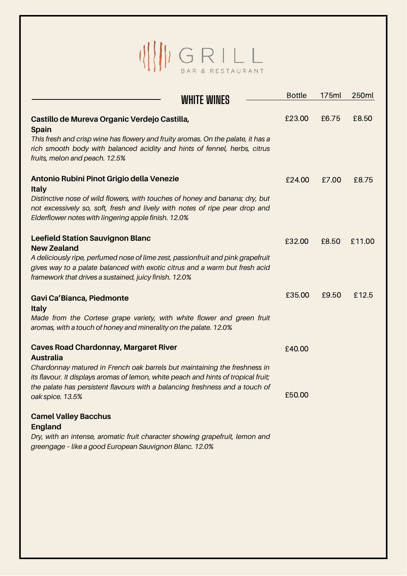# $\begin{picture}(120,140)(-30,140)(-0,0) \put(0,0){\line(1,0){15}} \put(15,0){\line(1,0){15}} \put(15,0){\line(1,0){15}} \put(15,0){\line(1,0){15}} \put(15,0){\line(1,0){15}} \put(15,0){\line(1,0){15}} \put(15,0){\line(1,0){15}} \put(15,0){\line(1,0){15}} \put(15,0){\line(1,0){15}} \put(15,0){\line(1,0){15}} \put(15,0){\line(1,0){$

| <b>WHITE WINES</b>                                                                                                                                                                                                                                                                                                                      | <b>Bottle</b>    | 175ml | 250ml  |
|-----------------------------------------------------------------------------------------------------------------------------------------------------------------------------------------------------------------------------------------------------------------------------------------------------------------------------------------|------------------|-------|--------|
| Castillo de Mureva Organic Verdejo Castilla,<br><b>Spain</b><br>This fresh and crisp wine has flowery and fruity aromas. On the palate, it has a<br>rich smooth body with balanced acidity and hints of fennel, herbs, citrus<br>fruits, melon and peach. 12.5%                                                                         | £23.00           | £6.75 | £8.50  |
| Antonio Rubini Pinot Grigio della Venezie<br><b>Italy</b><br>Distinctive nose of wild flowers, with touches of honey and banana; dry, but<br>not excessively so, soft, fresh and lively with notes of ripe pear drop and<br>Elderflower notes with lingering apple finish. 12.0%                                                        | £24.00           | £7.00 | £8.75  |
| <b>Leefield Station Sauvignon Blanc</b><br><b>New Zealand</b><br>A deliciously ripe, perfumed nose of lime zest, passionfruit and pink grapefruit<br>gives way to a palate balanced with exotic citrus and a warm but fresh acid<br>framework that drives a sustained, juicy finish. 12.0%                                              | £32.00           | £8.50 | £11.00 |
| Gavi Ca'Bianca, Piedmonte<br><b>Italy</b><br>Made from the Cortese grape variety, with white flower and green fruit<br>aromas, with a touch of honey and minerality on the palate. 12.0%                                                                                                                                                | £35.00           | £9.50 | £12.5  |
| <b>Caves Road Chardonnay, Margaret River</b><br><b>Australia</b><br>Chardonnay matured in French oak barrels but maintaining the freshness in<br>its flavour. It displays aromas of lemon, white peach and hints of tropical fruit;<br>the palate has persistent flavours with a balancing freshness and a touch of<br>oak spice. 13.5% | £40.00<br>£50.00 |       |        |
| <b>Camel Valley Bacchus</b><br><b>England</b><br>Dry, with an intense, aromatic fruit character showing grapefruit, lemon and<br>greengage - like a good European Sauvignon Blanc. 12.0%                                                                                                                                                |                  |       |        |
|                                                                                                                                                                                                                                                                                                                                         |                  |       |        |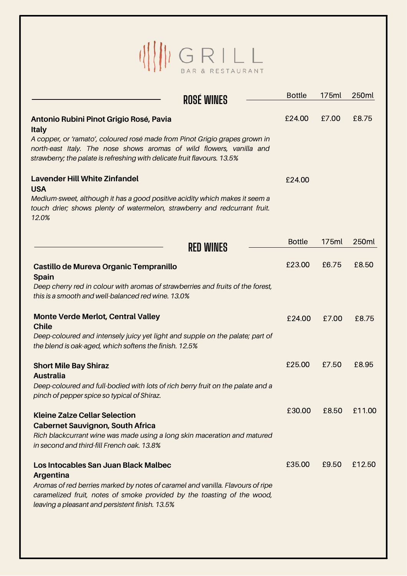# $\begin{picture}(120,140) \put(0,0){\line(1,0){15}} \put(15,0){\line(1,0){15}} \put(15,0){\line(1,0){15}} \put(15,0){\line(1,0){15}} \put(15,0){\line(1,0){15}} \put(15,0){\line(1,0){15}} \put(15,0){\line(1,0){15}} \put(15,0){\line(1,0){15}} \put(15,0){\line(1,0){15}} \put(15,0){\line(1,0){15}} \put(15,0){\line(1,0){15}} \put(15,0){\line$

|                                                                                                                                                                                                                                 | ROSÉ WINES       | <b>Bottle</b> | 175ml | 250ml  |
|---------------------------------------------------------------------------------------------------------------------------------------------------------------------------------------------------------------------------------|------------------|---------------|-------|--------|
| Antonio Rubini Pinot Grigio Rosé, Pavia<br><b>Italy</b>                                                                                                                                                                         |                  | £24.00        | £7.00 | £8.75  |
| A copper, or 'ramato', coloured rosé made from Pinot Grigio grapes grown in<br>north-east Italy. The nose shows aromas of wild flowers, vanilla and<br>strawberry; the palate is refreshing with delicate fruit flavours. 13.5% |                  |               |       |        |
| <b>Lavender Hill White Zinfandel</b>                                                                                                                                                                                            |                  | £24.00        |       |        |
| <b>USA</b><br>Medium-sweet, although it has a good positive acidity which makes it seem a<br>touch drier; shows plenty of watermelon, strawberry and redcurrant fruit.<br>12.0%                                                 |                  |               |       |        |
|                                                                                                                                                                                                                                 | <b>RED WINES</b> | <b>Bottle</b> | 175ml | 250ml  |
| Castillo de Mureva Organic Tempranillo<br><b>Spain</b>                                                                                                                                                                          |                  | £23.00        | £6.75 | £8.50  |
| Deep cherry red in colour with aromas of strawberries and fruits of the forest,<br>this is a smooth and well-balanced red wine. 13.0%                                                                                           |                  |               |       |        |
| <b>Monte Verde Merlot, Central Valley</b><br><b>Chile</b>                                                                                                                                                                       |                  | £24.00        | £7.00 | £8.75  |
| Deep-coloured and intensely juicy yet light and supple on the palate; part of<br>the blend is oak-aged, which softens the finish. 12.5%                                                                                         |                  |               |       |        |
| <b>Short Mile Bay Shiraz</b><br><b>Australia</b>                                                                                                                                                                                |                  | £25.00        | £7.50 | £8.95  |
| Deep-coloured and full-bodied with lots of rich berry fruit on the palate and a<br>pinch of pepper spice so typical of Shiraz.                                                                                                  |                  |               |       |        |
| <b>Kleine Zalze Cellar Selection</b>                                                                                                                                                                                            |                  | £30.00        | £8.50 | £11.00 |
| <b>Cabernet Sauvignon, South Africa</b><br>Rich blackcurrant wine was made using a long skin maceration and matured<br>in second and third-fill French oak. 13.8%                                                               |                  |               |       |        |
| Los Intocables San Juan Black Malbec<br><b>Argentina</b>                                                                                                                                                                        |                  | £35.00        | £9.50 | £12.50 |
| Aromas of red berries marked by notes of caramel and vanilla. Flavours of ripe<br>caramelized fruit, notes of smoke provided by the toasting of the wood,<br>leaving a pleasant and persistent finish. 13.5%                    |                  |               |       |        |
|                                                                                                                                                                                                                                 |                  |               |       |        |
|                                                                                                                                                                                                                                 |                  |               |       |        |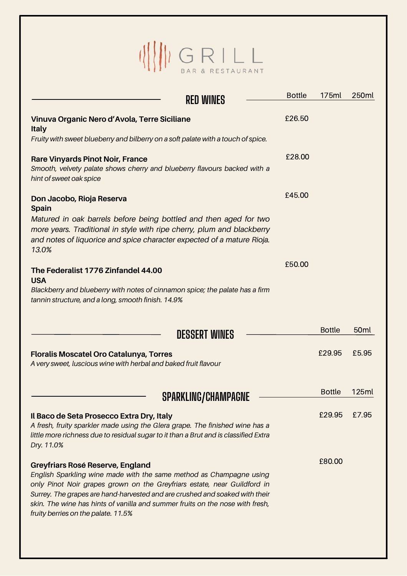## $\begin{picture}(120,140) \put(0,0){\line(1,0){15}} \put(15,0){\line(1,0){15}} \put(15,0){\line(1,0){15}} \put(15,0){\line(1,0){15}} \put(15,0){\line(1,0){15}} \put(15,0){\line(1,0){15}} \put(15,0){\line(1,0){15}} \put(15,0){\line(1,0){15}} \put(15,0){\line(1,0){15}} \put(15,0){\line(1,0){15}} \put(15,0){\line(1,0){15}} \put(15,0){\line$

| <b>RED WINES</b>                                                                                                                                                                                                                                                                                                                                                                           | <b>Bottle</b> | 175ml         | 250ml            |
|--------------------------------------------------------------------------------------------------------------------------------------------------------------------------------------------------------------------------------------------------------------------------------------------------------------------------------------------------------------------------------------------|---------------|---------------|------------------|
| Vinuva Organic Nero d'Avola, Terre Siciliane<br><b>Italy</b>                                                                                                                                                                                                                                                                                                                               | £26.50        |               |                  |
| Fruity with sweet blueberry and bilberry on a soft palate with a touch of spice.                                                                                                                                                                                                                                                                                                           |               |               |                  |
| <b>Rare Vinyards Pinot Noir, France</b><br>Smooth, velvety palate shows cherry and blueberry flavours backed with a<br>hint of sweet oak spice                                                                                                                                                                                                                                             | £28.00        |               |                  |
| Don Jacobo, Rioja Reserva<br><b>Spain</b>                                                                                                                                                                                                                                                                                                                                                  | £45.00        |               |                  |
| Matured in oak barrels before being bottled and then aged for two<br>more years. Traditional in style with ripe cherry, plum and blackberry<br>and notes of liquorice and spice character expected of a mature Rioja.<br>13.0%                                                                                                                                                             |               |               |                  |
| The Federalist 1776 Zinfandel 44.00<br><b>USA</b>                                                                                                                                                                                                                                                                                                                                          | £50.00        |               |                  |
| Blackberry and blueberry with notes of cinnamon spice; the palate has a firm<br>tannin structure, and a long, smooth finish. 14.9%                                                                                                                                                                                                                                                         |               |               |                  |
| <b>DESSERT WINES</b>                                                                                                                                                                                                                                                                                                                                                                       |               | <b>Bottle</b> | 50 <sub>ml</sub> |
| <b>Floralis Moscatel Oro Catalunya, Torres</b><br>A very sweet, luscious wine with herbal and baked fruit flavour                                                                                                                                                                                                                                                                          |               | £29.95        | £5.95            |
| <b>SPARKLING/CHAMPAGNE</b>                                                                                                                                                                                                                                                                                                                                                                 |               | <b>Bottle</b> | <b>125ml</b>     |
| Il Baco de Seta Prosecco Extra Dry, Italy<br>A fresh, fruity sparkler made using the Glera grape. The finished wine has a<br>little more richness due to residual sugar to it than a Brut and is classified Extra<br>Dry. 11.0%                                                                                                                                                            |               | £29.95        | £7.95            |
| Greyfriars Rosé Reserve, England<br>English Sparkling wine made with the same method as Champagne using<br>only Pinot Noir grapes grown on the Greyfriars estate, near Guildford in<br>Surrey. The grapes are hand-harvested and are crushed and soaked with their<br>skin. The wine has hints of vanilla and summer fruits on the nose with fresh,<br>fruity berries on the palate. 11.5% |               | £80.00        |                  |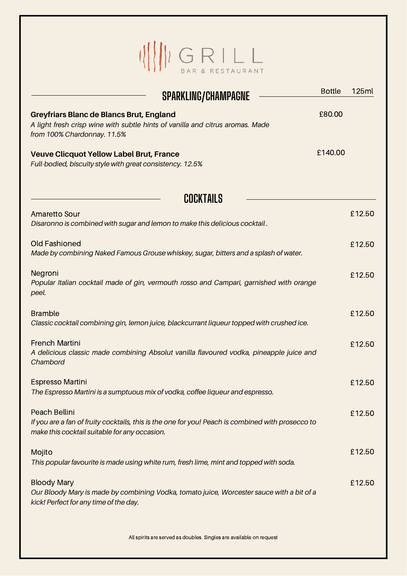### $\begin{picture}(20,10) \put(0,0){\line(1,0){155}} \put(15,0){\line(1,0){155}} \put(15,0){\line(1,0){155}} \put(15,0){\line(1,0){155}} \put(15,0){\line(1,0){155}} \put(15,0){\line(1,0){155}} \put(15,0){\line(1,0){155}} \put(15,0){\line(1,0){155}} \put(15,0){\line(1,0){155}} \put(15,0){\line(1,0){155}} \put(15,0){\line(1,0){155}} \$

| <b>SPARKLING/CHAMPAGNE</b>                                                                                                                                          | <b>Bottle</b> | <b>125ml</b> |
|---------------------------------------------------------------------------------------------------------------------------------------------------------------------|---------------|--------------|
| <b>Greyfriars Blanc de Blancs Brut, England</b><br>A light fresh crisp wine with subtle hints of vanilla and citrus aromas. Made<br>from 100% Chardonnay. 11.5%     | £80.00        |              |
| <b>Veuve Clicquot Yellow Label Brut, France</b><br>Full-bodied, biscuity style with great consistency. 12.5%                                                        | £140.00       |              |
| <b>COCKTAILS</b>                                                                                                                                                    |               |              |
| <b>Amaretto Sour</b><br>Disaronno is combined with sugar and lemon to make this delicious cocktail.                                                                 |               | £12.50       |
| <b>Old Fashioned</b><br>Made by combining Naked Famous Grouse whiskey, sugar, bitters and a splash of water.                                                        |               | £12.50       |
| Negroni<br>Popular Italian cocktail made of gin, vermouth rosso and Campari, garnished with orange<br>peel.                                                         |               | £12.50       |
| <b>Bramble</b><br>Classic cocktail combining gin, lemon juice, blackcurrant liqueur topped with crushed ice.                                                        |               | £12.50       |
| <b>French Martini</b><br>A delicious classic made combining Absolut vanilla flavoured vodka, pineapple juice and<br>Chambord                                        |               | £12.50       |
| <b>Espresso Martini</b><br>The Espresso Martini is a sumptuous mix of vodka, coffee liqueur and espresso.                                                           |               | £12.50       |
| Peach Bellini<br>If you are a fan of fruity cocktails, this is the one for you! Peach is combined with prosecco to<br>make this cocktail suitable for any occasion. |               | £12.50       |
| Mojito<br>This popular favourite is made using white rum, fresh lime, mint and topped with soda.                                                                    |               | £12.50       |
| <b>Bloody Mary</b><br>Our Bloody Mary is made by combining Vodka, tomato juice, Worcester sauce with a bit of a<br>kick! Perfect for any time of the day.           |               | £12.50       |
| All spirits are served as doubles. Singles are available on request                                                                                                 |               |              |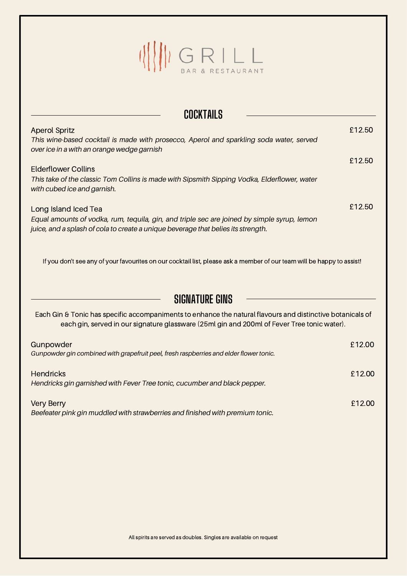## $\begin{picture}(20,10) \put(0,0){\line(1,0){15}} \put(15,0){\line(1,0){15}} \put(15,0){\line(1,0){15}} \put(15,0){\line(1,0){15}} \put(15,0){\line(1,0){15}} \put(15,0){\line(1,0){15}} \put(15,0){\line(1,0){15}} \put(15,0){\line(1,0){15}} \put(15,0){\line(1,0){15}} \put(15,0){\line(1,0){15}} \put(15,0){\line(1,0){15}} \put(15,0){\line(1$

| <b>COCKTAILS</b>                                                                                                                                                                                          |        |
|-----------------------------------------------------------------------------------------------------------------------------------------------------------------------------------------------------------|--------|
| <b>Aperol Spritz</b><br>This wine-based cocktail is made with prosecco, Aperol and sparkling soda water, served                                                                                           | £12.50 |
| over ice in a with an orange wedge garnish                                                                                                                                                                |        |
| <b>Elderflower Collins</b>                                                                                                                                                                                | £12.50 |
| This take of the classic Tom Collins is made with Sipsmith Sipping Vodka, Elderflower, water<br>with cubed ice and garnish.                                                                               |        |
| Long Island Iced Tea                                                                                                                                                                                      | £12.50 |
| Equal amounts of vodka, rum, tequila, gin, and triple sec are joined by simple syrup, lemon<br>juice, and a splash of cola to create a unique beverage that belies its strength.                          |        |
| If you don't see any of your favourites on our cocktail list, please ask a member of our team will be happy to assist!                                                                                    |        |
| <b>SIGNATURE GINS</b>                                                                                                                                                                                     |        |
| Each Gin & Tonic has specific accompaniments to enhance the natural flavours and distinctive botanicals of<br>each gin, served in our signature glassware (25ml gin and 200ml of Fever Tree tonic water). |        |
| Gunpowder                                                                                                                                                                                                 | £12.00 |
| Gunpowder gin combined with grapefruit peel, fresh raspberries and elder flower tonic.                                                                                                                    |        |
| <b>Hendricks</b><br>Hendricks gin garnished with Fever Tree tonic, cucumber and black pepper.                                                                                                             | £12.00 |
| <b>Very Berry</b><br>Beefeater pink gin muddled with strawberries and finished with premium tonic.                                                                                                        | £12.00 |
|                                                                                                                                                                                                           |        |
|                                                                                                                                                                                                           |        |
|                                                                                                                                                                                                           |        |
|                                                                                                                                                                                                           |        |
|                                                                                                                                                                                                           |        |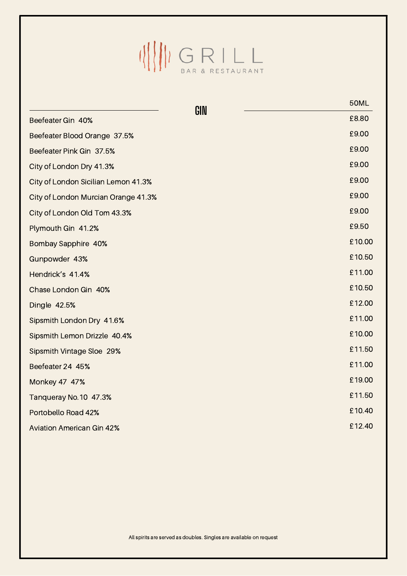### $\begin{picture}(20,10) \put(0,0){\line(1,0){10}} \put(10,0){\line(1,0){10}} \put(10,0){\line(1,0){10}} \put(10,0){\line(1,0){10}} \put(10,0){\line(1,0){10}} \put(10,0){\line(1,0){10}} \put(10,0){\line(1,0){10}} \put(10,0){\line(1,0){10}} \put(10,0){\line(1,0){10}} \put(10,0){\line(1,0){10}} \put(10,0){\line(1,0){10}} \put(10,0){\line(1$

|                                     | GIN | <b>50ML</b> |
|-------------------------------------|-----|-------------|
| Beefeater Gin 40%                   |     | £8.80       |
| Beefeater Blood Orange 37.5%        |     | £9.00       |
| Beefeater Pink Gin 37.5%            |     | £9.00       |
| City of London Dry 41.3%            |     | £9.00       |
| City of London Sicilian Lemon 41.3% |     | £9.00       |
| City of London Murcian Orange 41.3% |     | £9.00       |
| City of London Old Tom 43.3%        |     | £9.00       |
| Plymouth Gin 41.2%                  |     | £9.50       |
| Bombay Sapphire 40%                 |     | £10.00      |
| Gunpowder 43%                       |     | £10.50      |
| Hendrick's 41.4%                    |     | £11.00      |
| Chase London Gin 40%                |     | £10.50      |
| Dingle 42.5%                        |     | £12.00      |
| Sipsmith London Dry 41.6%           |     | £11.00      |
| Sipsmith Lemon Drizzle 40.4%        |     | £10.00      |
| <b>Sipsmith Vintage Sloe 29%</b>    |     | £11.50      |
| Beefeater 24 45%                    |     | £11.00      |
| Monkey 47 47%                       |     | £19.00      |
| Tanqueray No.10 47.3%               |     | £11.50      |
| Portobello Road 42%                 |     | £10.40      |
| <b>Aviation American Gin 42%</b>    |     | £12.40      |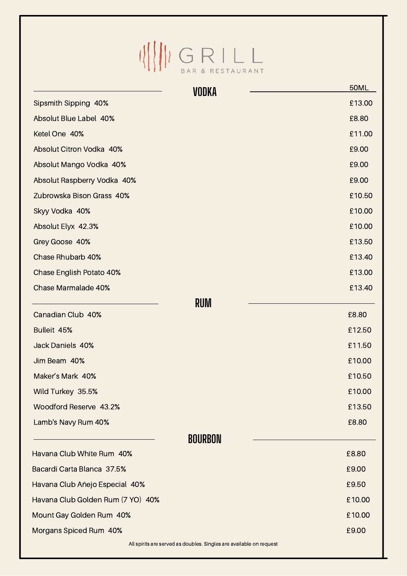# $\begin{picture}(120,140) \put(0,0){\line(1,0){15}} \put(15,0){\line(1,0){15}} \put(15,0){\line(1,0){15}} \put(15,0){\line(1,0){15}} \put(15,0){\line(1,0){15}} \put(15,0){\line(1,0){15}} \put(15,0){\line(1,0){15}} \put(15,0){\line(1,0){15}} \put(15,0){\line(1,0){15}} \put(15,0){\line(1,0){15}} \put(15,0){\line(1,0){15}} \put(15,0){\line$

|                                   | VODKA                                                               | <b>50ML</b> |
|-----------------------------------|---------------------------------------------------------------------|-------------|
| Sipsmith Sipping 40%              |                                                                     | £13.00      |
| Absolut Blue Label 40%            |                                                                     | £8.80       |
| Ketel One 40%                     |                                                                     | £11.00      |
| Absolut Citron Vodka 40%          |                                                                     | £9.00       |
| Absolut Mango Vodka 40%           |                                                                     | £9.00       |
| Absolut Raspberry Vodka 40%       |                                                                     | £9.00       |
| Zubrowska Bison Grass 40%         |                                                                     | £10.50      |
| Skyy Vodka 40%                    |                                                                     | £10.00      |
| Absolut Elyx 42.3%                |                                                                     | £10.00      |
| Grey Goose 40%                    |                                                                     | £13.50      |
| <b>Chase Rhubarb 40%</b>          |                                                                     | £13.40      |
| <b>Chase English Potato 40%</b>   |                                                                     | £13.00      |
| <b>Chase Marmalade 40%</b>        |                                                                     | £13.40      |
| Canadian Club 40%                 | <b>RUM</b>                                                          | £8.80       |
| Bulleit 45%                       |                                                                     | £12.50      |
| <b>Jack Daniels 40%</b>           |                                                                     | £11.50      |
| Jim Beam 40%                      |                                                                     | £10.00      |
| Maker's Mark 40%                  |                                                                     | £10.50      |
| Wild Turkey 35.5%                 |                                                                     | £10.00      |
| Woodford Reserve 43.2%            |                                                                     | £13.50      |
| Lamb's Navy Rum 40%               |                                                                     | £8.80       |
|                                   |                                                                     |             |
| Havana Club White Rum 40%         | <b>BOURBON</b>                                                      | £8.80       |
| Bacardi Carta Blanca 37.5%        |                                                                     | £9.00       |
| Havana Club Añejo Especial 40%    |                                                                     | £9.50       |
| Havana Club Golden Rum (7 YO) 40% |                                                                     | £10.00      |
|                                   |                                                                     | £10.00      |
| Mount Gay Golden Rum 40%          |                                                                     | £9.00       |
| Morgans Spiced Rum 40%            | All spirits are served as doubles. Singles are available on request |             |
|                                   |                                                                     |             |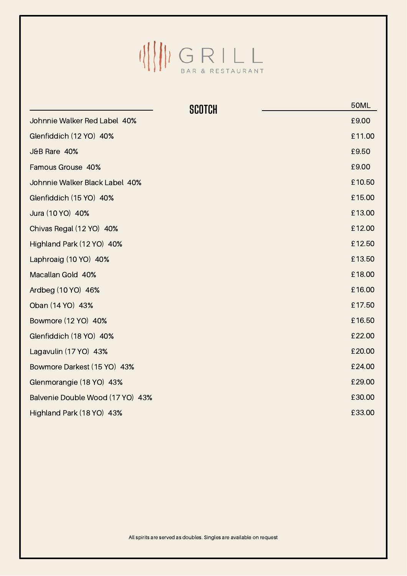### $\begin{picture}(20,10) \put(0,0){\line(1,0){10}} \put(10,0){\line(1,0){10}} \put(10,0){\line(1,0){10}} \put(10,0){\line(1,0){10}} \put(10,0){\line(1,0){10}} \put(10,0){\line(1,0){10}} \put(10,0){\line(1,0){10}} \put(10,0){\line(1,0){10}} \put(10,0){\line(1,0){10}} \put(10,0){\line(1,0){10}} \put(10,0){\line(1,0){10}} \put(10,0){\line(1$

|                                  | <b>SCOTCH</b> | <b>50ML</b> |
|----------------------------------|---------------|-------------|
| Johnnie Walker Red Label 40%     |               | £9.00       |
| Glenfiddich (12 YO) 40%          |               | £11.00      |
| J&B Rare 40%                     |               | £9.50       |
| Famous Grouse 40%                |               | £9.00       |
| Johnnie Walker Black Label 40%   |               | £10.50      |
| Glenfiddich (15 YO) 40%          |               | £15.00      |
| Jura (10 YO) 40%                 |               | £13.00      |
| Chivas Regal (12 YO) 40%         |               | £12.00      |
| Highland Park (12 YO) 40%        |               | £12.50      |
| Laphroaig (10 YO) 40%            |               | £13.50      |
| Macallan Gold 40%                |               | £18.00      |
| Ardbeg (10 YO) 46%               |               | £16.00      |
| Oban (14 YO) 43%                 |               | £17.50      |
| Bowmore (12 YO) 40%              |               | £16.50      |
| Glenfiddich (18 YO) 40%          |               | £22.00      |
| Lagavulin (17 YO) 43%            |               | £20.00      |
| Bowmore Darkest (15 YO) 43%      |               | £24.00      |
| Glenmorangie (18 YO) 43%         |               | £29.00      |
| Balvenie Double Wood (17 YO) 43% |               | £30.00      |
| Highland Park (18 YO) 43%        |               | £33.00      |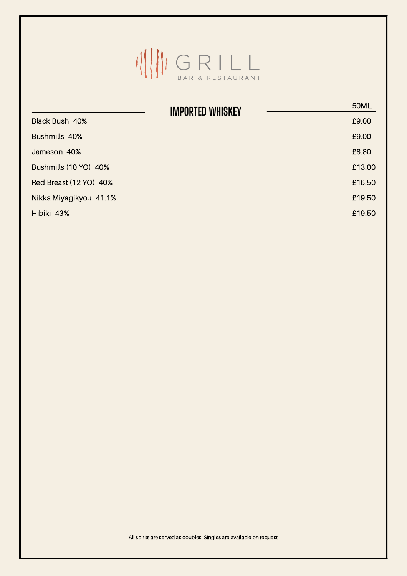

|                        | <b>IMPORTED WHISKEY</b> | <b>50ML</b> |
|------------------------|-------------------------|-------------|
| Black Bush 40%         |                         | £9.00       |
| Bushmills 40%          |                         | £9.00       |
| Jameson 40%            |                         | £8.80       |
| Bushmills (10 YO) 40%  |                         | £13.00      |
| Red Breast (12 YO) 40% |                         | £16.50      |
| Nikka Miyagikyou 41.1% |                         | £19.50      |
| Hibiki 43%             |                         | £19.50      |
|                        |                         |             |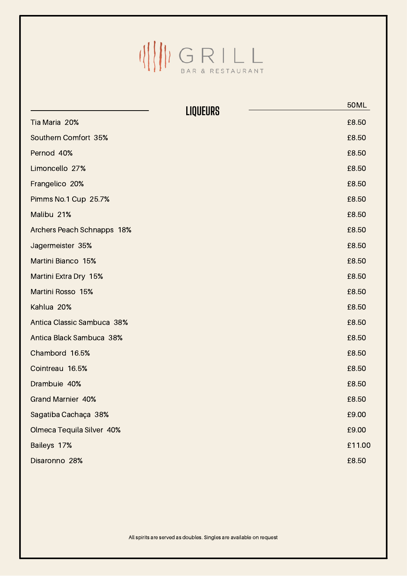## $\begin{picture}(20,10) \put(0,0){\line(1,0){15}} \put(15,0){\line(1,0){15}} \put(15,0){\line(1,0){15}} \put(15,0){\line(1,0){15}} \put(15,0){\line(1,0){15}} \put(15,0){\line(1,0){15}} \put(15,0){\line(1,0){15}} \put(15,0){\line(1,0){15}} \put(15,0){\line(1,0){15}} \put(15,0){\line(1,0){15}} \put(15,0){\line(1,0){15}} \put(15,0){\line(1$

|                                   | <b>LIQUEURS</b> | <b>50ML</b> |
|-----------------------------------|-----------------|-------------|
| Tia Maria 20%                     |                 | £8.50       |
| Southern Comfort 35%              |                 | £8.50       |
| Pernod 40%                        |                 | £8.50       |
| Limoncello 27%                    |                 | £8.50       |
| Frangelico 20%                    |                 | £8.50       |
| Pimms No.1 Cup 25.7%              |                 | £8.50       |
| Malibu 21%                        |                 | £8.50       |
| <b>Archers Peach Schnapps 18%</b> |                 | £8.50       |
| Jagermeister 35%                  |                 | £8.50       |
| <b>Martini Bianco 15%</b>         |                 | £8.50       |
| Martini Extra Dry 15%             |                 | £8.50       |
| Martini Rosso 15%                 |                 | £8.50       |
| Kahlua 20%                        |                 | £8.50       |
| Antica Classic Sambuca 38%        |                 | £8.50       |
| Antica Black Sambuca 38%          |                 | £8.50       |
| Chambord 16.5%                    |                 | £8.50       |
| Cointreau 16.5%                   |                 | £8.50       |
| Drambuie 40%                      |                 | £8.50       |
| <b>Grand Marnier 40%</b>          |                 | £8.50       |
| Sagatiba Cachaça 38%              |                 | £9.00       |
| Olmeca Tequila Silver 40%         |                 | £9.00       |
| Baileys 17%                       |                 | £11.00      |
| Disaronno 28%                     |                 | £8.50       |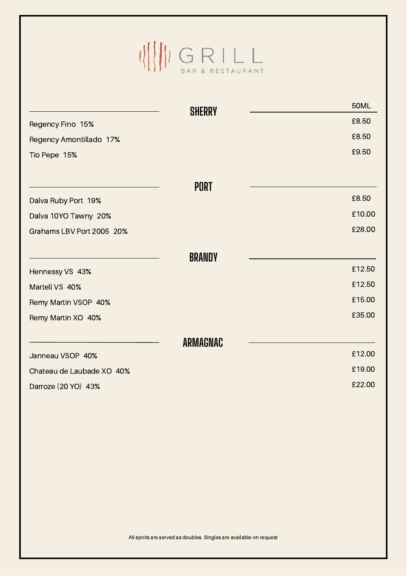## $\begin{picture}(20,10) \put(0,0){\line(1,0){15}} \put(15,0){\line(1,0){15}} \put(15,0){\line(1,0){15}} \put(15,0){\line(1,0){15}} \put(15,0){\line(1,0){15}} \put(15,0){\line(1,0){15}} \put(15,0){\line(1,0){15}} \put(15,0){\line(1,0){15}} \put(15,0){\line(1,0){15}} \put(15,0){\line(1,0){15}} \put(15,0){\line(1,0){15}} \put(15,0){\line(1$

|                           | <b>SHERRY</b>   | <b>50ML</b> |  |
|---------------------------|-----------------|-------------|--|
| Regency Fino 15%          |                 | £8.50       |  |
| Regency Amontillado 17%   |                 | £8.50       |  |
| Tio Pepe 15%              |                 | £9.50       |  |
|                           |                 |             |  |
|                           | <b>PORT</b>     |             |  |
| Dalva Ruby Port 19%       |                 | £8.50       |  |
| Dalva 10YO Tawny 20%      |                 | £10.00      |  |
| Grahams LBV Port 2005 20% |                 | £28.00      |  |
|                           | <b>BRANDY</b>   |             |  |
| Hennessy VS 43%           |                 | £12.50      |  |
| Martell VS 40%            |                 | £12.50      |  |
| Remy Martin VSOP 40%      |                 | £15.00      |  |
| Remy Martin XO 40%        |                 | £35.00      |  |
|                           | <b>ARMAGNAC</b> |             |  |
| Janneau VSOP 40%          |                 | £12.00      |  |
| Chateau de Laubade XO 40% |                 | £19.00      |  |
| Darroze (20 YO) 43%       |                 | £22.00      |  |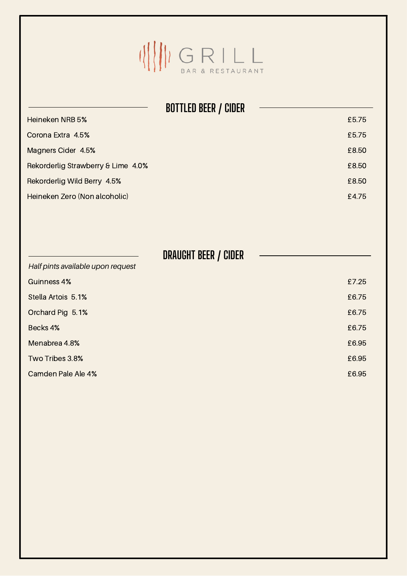

|                                    | <b>BOTTLED BEER / CIDER</b> |  |
|------------------------------------|-----------------------------|--|
| <b>Heineken NRB 5%</b>             | £5.75                       |  |
| Corona Extra 4.5%                  | £5.75                       |  |
| Magners Cider 4.5%                 | £8.50                       |  |
| Rekorderlig Strawberry & Lime 4.0% | £8.50                       |  |
| Rekorderlig Wild Berry 4.5%        | £8.50                       |  |
| Heineken Zero (Non alcoholic)      | £4.75                       |  |
|                                    |                             |  |
|                                    | DRAUGHT BEER / CIDER        |  |
| Half pints available upon request  |                             |  |
| <b>Guinness 4%</b>                 | £7.25                       |  |
| Stella Artois 5.1%                 | £6.75                       |  |
| Orchard Pig 5.1%                   | £6.75                       |  |
| Becks 4%                           | £6.75                       |  |
| Menabrea 4.8%                      | £6.95                       |  |
| Two Tribes 3.8%                    | £6.95                       |  |
| Camden Pale Ale 4%                 | £6.95                       |  |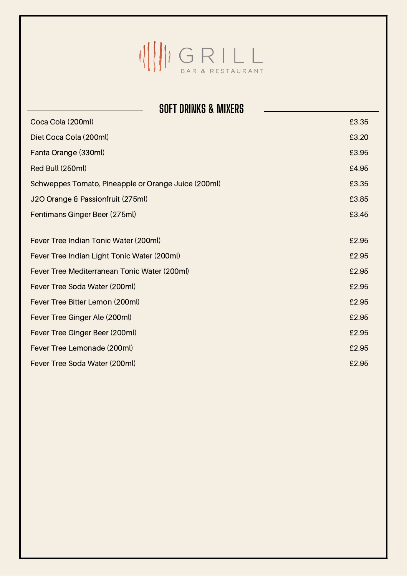

| <b>SOFT DRINKS &amp; MIXERS</b>                     |       |  |  |  |
|-----------------------------------------------------|-------|--|--|--|
| Coca Cola (200ml)                                   | £3.35 |  |  |  |
| Diet Coca Cola (200ml)                              | £3.20 |  |  |  |
| Fanta Orange (330ml)                                | £3.95 |  |  |  |
| Red Bull (250ml)                                    | £4.95 |  |  |  |
| Schweppes Tomato, Pineapple or Orange Juice (200ml) | £3.35 |  |  |  |
| J2O Orange & Passionfruit (275ml)                   | £3.85 |  |  |  |
| Fentimans Ginger Beer (275ml)                       | £3.45 |  |  |  |
|                                                     |       |  |  |  |
| Fever Tree Indian Tonic Water (200ml)               | £2.95 |  |  |  |
| Fever Tree Indian Light Tonic Water (200ml)         |       |  |  |  |
| Fever Tree Mediterranean Tonic Water (200ml)        | £2.95 |  |  |  |
| Fever Tree Soda Water (200ml)                       | £2.95 |  |  |  |
| Fever Tree Bitter Lemon (200ml)                     | £2.95 |  |  |  |
| Fever Tree Ginger Ale (200ml)                       | £2.95 |  |  |  |
| Fever Tree Ginger Beer (200ml)                      | £2.95 |  |  |  |
| Fever Tree Lemonade (200ml)                         | £2.95 |  |  |  |
| Fever Tree Soda Water (200ml)                       | £2.95 |  |  |  |